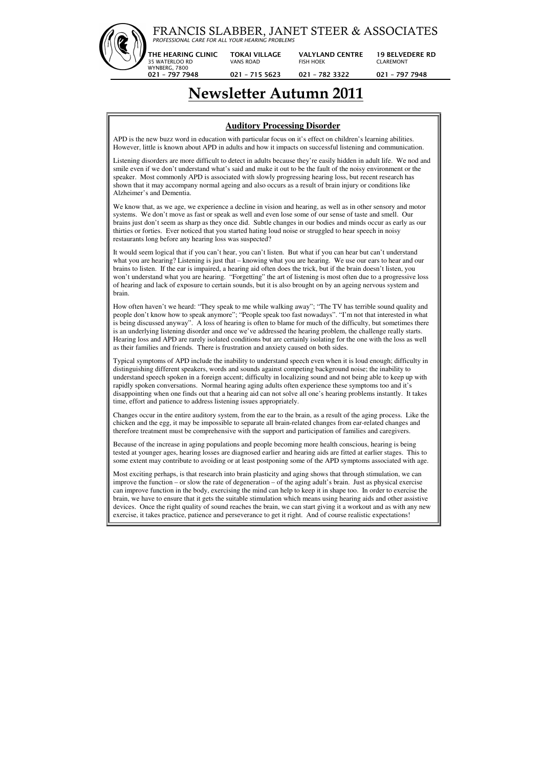

# **Newsletter Autumn 2011**

### **Auditory Processing Disorder**

APD is the new buzz word in education with particular focus on it's effect on children's learning abilities. However, little is known about APD in adults and how it impacts on successful listening and communication.

Listening disorders are more difficult to detect in adults because they're easily hidden in adult life. We nod and smile even if we don't understand what's said and make it out to be the fault of the noisy environment or the speaker. Most commonly APD is associated with slowly progressing hearing loss, but recent research has shown that it may accompany normal ageing and also occurs as a result of brain injury or conditions like Alzheimer's and Dementia.

We know that, as we age, we experience a decline in vision and hearing, as well as in other sensory and motor systems. We don't move as fast or speak as well and even lose some of our sense of taste and smell. Our brains just don't seem as sharp as they once did. Subtle changes in our bodies and minds occur as early as our thirties or forties. Ever noticed that you started hating loud noise or struggled to hear speech in noisy restaurants long before any hearing loss was suspected?

It would seem logical that if you can't hear, you can't listen. But what if you can hear but can't understand what you are hearing? Listening is just that – knowing what you are hearing. We use our ears to hear and our brains to listen. If the ear is impaired, a hearing aid often does the trick, but if the brain doesn't listen, you won't understand what you are hearing. "Forgetting" the art of listening is most often due to a progressive loss of hearing and lack of exposure to certain sounds, but it is also brought on by an ageing nervous system and brain.

How often haven't we heard: "They speak to me while walking away"; "The TV has terrible sound quality and people don't know how to speak anymore"; "People speak too fast nowadays". "I'm not that interested in what is being discussed anyway". A loss of hearing is often to blame for much of the difficulty, but sometimes there is an underlying listening disorder and once we've addressed the hearing problem, the challenge really starts. Hearing loss and APD are rarely isolated conditions but are certainly isolating for the one with the loss as well as their families and friends. There is frustration and anxiety caused on both sides.

Typical symptoms of APD include the inability to understand speech even when it is loud enough; difficulty in distinguishing different speakers, words and sounds against competing background noise; the inability to understand speech spoken in a foreign accent; difficulty in localizing sound and not being able to keep up with rapidly spoken conversations. Normal hearing aging adults often experience these symptoms too and it's disappointing when one finds out that a hearing aid can not solve all one's hearing problems instantly. It takes time, effort and patience to address listening issues appropriately.

Changes occur in the entire auditory system, from the ear to the brain, as a result of the aging process. Like the chicken and the egg, it may be impossible to separate all brain-related changes from ear-related changes and therefore treatment must be comprehensive with the support and participation of families and caregivers.

Because of the increase in aging populations and people becoming more health conscious, hearing is being tested at younger ages, hearing losses are diagnosed earlier and hearing aids are fitted at earlier stages. This to some extent may contribute to avoiding or at least postponing some of the APD symptoms associated with age.

Most exciting perhaps, is that research into brain plasticity and aging shows that through stimulation, we can improve the function – or slow the rate of degeneration – of the aging adult's brain. Just as physical exercise can improve function in the body, exercising the mind can help to keep it in shape too. In order to exercise the brain, we have to ensure that it gets the suitable stimulation which means using hearing aids and other assistive devices. Once the right quality of sound reaches the brain, we can start giving it a workout and as with any new exercise, it takes practice, patience and perseverance to get it right. And of course realistic expectations!